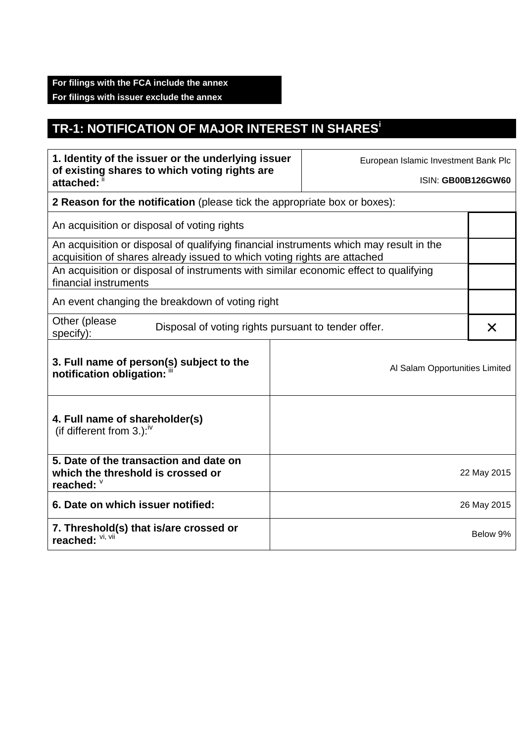## **TR-1: NOTIFICATION OF MAJOR INTEREST IN SHARES<sup>i</sup>**

| 1. Identity of the issuer or the underlying issuer<br>of existing shares to which voting rights are<br>attached: "                                                 |             | European Islamic Investment Bank Plc |             |  |  |
|--------------------------------------------------------------------------------------------------------------------------------------------------------------------|-------------|--------------------------------------|-------------|--|--|
|                                                                                                                                                                    |             | <b>ISIN: GB00B126GW60</b>            |             |  |  |
| 2 Reason for the notification (please tick the appropriate box or boxes):                                                                                          |             |                                      |             |  |  |
| An acquisition or disposal of voting rights                                                                                                                        |             |                                      |             |  |  |
| An acquisition or disposal of qualifying financial instruments which may result in the<br>acquisition of shares already issued to which voting rights are attached |             |                                      |             |  |  |
| An acquisition or disposal of instruments with similar economic effect to qualifying<br>financial instruments                                                      |             |                                      |             |  |  |
| An event changing the breakdown of voting right                                                                                                                    |             |                                      |             |  |  |
| Other (please<br>Disposal of voting rights pursuant to tender offer.<br>specify):                                                                                  |             |                                      |             |  |  |
| 3. Full name of person(s) subject to the<br>notification obligation: "                                                                                             |             | Al Salam Opportunities Limited       |             |  |  |
| 4. Full name of shareholder(s)<br>(if different from $3.$ ): <sup>iv</sup>                                                                                         |             |                                      |             |  |  |
| 5. Date of the transaction and date on<br>which the threshold is crossed or<br>reached: V                                                                          |             |                                      | 22 May 2015 |  |  |
| 6. Date on which issuer notified:                                                                                                                                  | 26 May 2015 |                                      |             |  |  |
| 7. Threshold(s) that is/are crossed or<br>reached: Vi, Vii                                                                                                         |             |                                      | Below 9%    |  |  |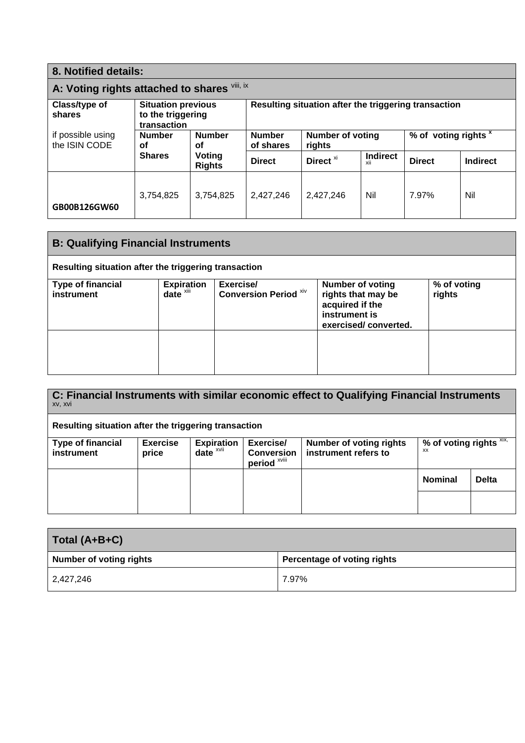| 8. Notified details:                         |                                                               |                         |                                                      |                                   |                        |                                 |          |
|----------------------------------------------|---------------------------------------------------------------|-------------------------|------------------------------------------------------|-----------------------------------|------------------------|---------------------------------|----------|
| A: Voting rights attached to shares Vill, ix |                                                               |                         |                                                      |                                   |                        |                                 |          |
| Class/type of<br>shares                      | <b>Situation previous</b><br>to the triggering<br>transaction |                         | Resulting situation after the triggering transaction |                                   |                        |                                 |          |
| if possible using<br>the ISIN CODE           | <b>Number</b><br><b>Number</b><br>οf<br>οf                    |                         | <b>Number</b><br>of shares                           | <b>Number of voting</b><br>rights |                        | % of voting rights <sup>x</sup> |          |
|                                              | <b>Shares</b>                                                 | Voting<br><b>Rights</b> | <b>Direct</b>                                        | Direct <sup>xi</sup>              | <b>Indirect</b><br>XII | <b>Direct</b>                   | Indirect |
| GB00B126GW60                                 | 3,754,825                                                     | 3,754,825               | 2.427.246                                            | 2.427.246                         | Nil                    | 7.97%                           | Nil      |

| <b>B: Qualifying Financial Instruments</b>           |                                               |                                           |                                                                                                           |                       |  |
|------------------------------------------------------|-----------------------------------------------|-------------------------------------------|-----------------------------------------------------------------------------------------------------------|-----------------------|--|
| Resulting situation after the triggering transaction |                                               |                                           |                                                                                                           |                       |  |
| <b>Type of financial</b><br>instrument               | <b>Expiration</b><br>$date^{\overline{x}iii}$ | Exercise/<br><b>Conversion Period Xiv</b> | <b>Number of voting</b><br>rights that may be<br>acquired if the<br>instrument is<br>exercised/converted. | % of voting<br>rights |  |
|                                                      |                                               |                                           |                                                                                                           |                       |  |

| C: Financial Instruments with similar economic effect to Qualifying Financial Instruments<br>XV, XVI |                 |                   |                                              |                                |                            |              |
|------------------------------------------------------------------------------------------------------|-----------------|-------------------|----------------------------------------------|--------------------------------|----------------------------|--------------|
| Resulting situation after the triggering transaction                                                 |                 |                   |                                              |                                |                            |              |
| <b>Type of financial</b>                                                                             | <b>Exercise</b> | <b>Expiration</b> | Exercise/                                    | <b>Number of voting rights</b> | % of voting rights $XIX$ , |              |
| instrument                                                                                           | price           | $date^x$          | <b>Conversion</b><br>period <sup>xviii</sup> | instrument refers to           | XX                         |              |
|                                                                                                      |                 |                   |                                              |                                | <b>Nominal</b>             | <b>Delta</b> |
|                                                                                                      |                 |                   |                                              |                                |                            |              |

| Total (A+B+C)           |                             |
|-------------------------|-----------------------------|
| Number of voting rights | Percentage of voting rights |
| 2,427,246               | 7.97%                       |